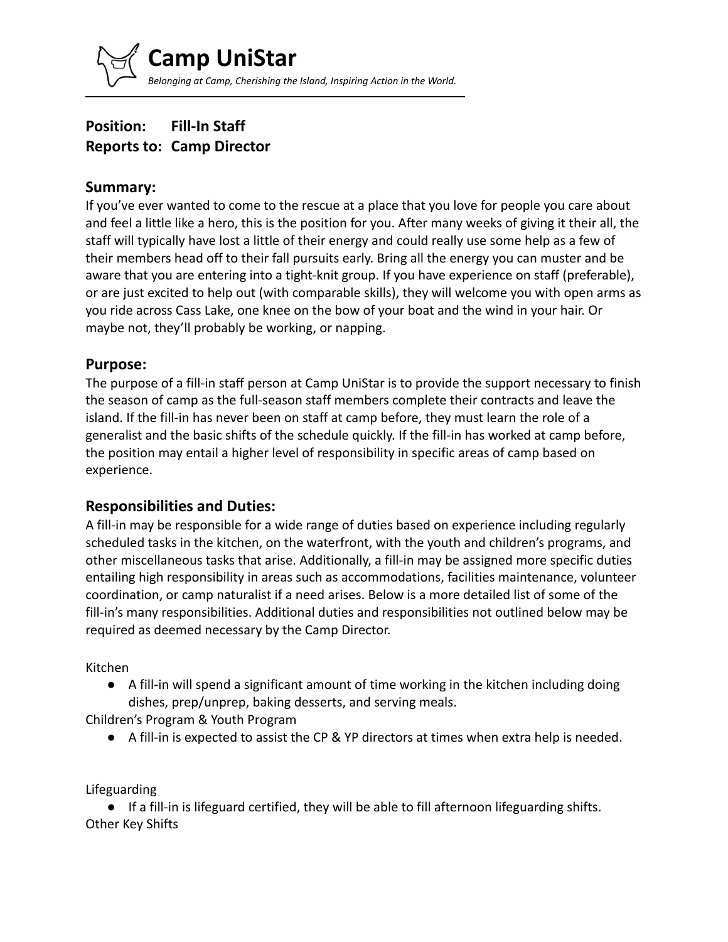**Camp UniStar** *Belonging at Camp, Cherishing the Island, Inspiring Action in the World.*

# **Position: Fill-In Staff Reports to: Camp Director**

#### **Summary:**

If you've ever wanted to come to the rescue at a place that you love for people you care about and feel a little like a hero, this is the position for you. After many weeks of giving it their all, the staff will typically have lost a little of their energy and could really use some help as a few of their members head off to their fall pursuits early. Bring all the energy you can muster and be aware that you are entering into a tight-knit group. If you have experience on staff (preferable), or are just excited to help out (with comparable skills), they will welcome you with open arms as you ride across Cass Lake, one knee on the bow of your boat and the wind in your hair. Or maybe not, they'll probably be working, or napping.

### **Purpose:**

The purpose of a fill-in staff person at Camp UniStar is to provide the support necessary to finish the season of camp as the full-season staff members complete their contracts and leave the island. If the fill-in has never been on staff at camp before, they must learn the role of a generalist and the basic shifts of the schedule quickly. If the fill-in has worked at camp before, the position may entail a higher level of responsibility in specific areas of camp based on experience.

#### **Responsibilities and Duties:**

A fill-in may be responsible for a wide range of duties based on experience including regularly scheduled tasks in the kitchen, on the waterfront, with the youth and children's programs, and other miscellaneous tasks that arise. Additionally, a fill-in may be assigned more specific duties entailing high responsibility in areas such as accommodations, facilities maintenance, volunteer coordination, or camp naturalist if a need arises. Below is a more detailed list of some of the fill-in's many responsibilities. Additional duties and responsibilities not outlined below may be required as deemed necessary by the Camp Director.

Kitchen

● A fill-in will spend a significant amount of time working in the kitchen including doing dishes, prep/unprep, baking desserts, and serving meals.

Children's Program & Youth Program

● A fill-in is expected to assist the CP & YP directors at times when extra help is needed.

Lifeguarding

● If a fill-in is lifeguard certified, they will be able to fill afternoon lifeguarding shifts. Other Key Shifts